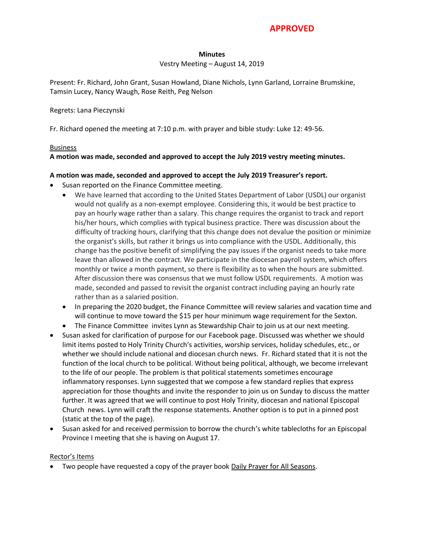# **APPROVED**

## **Minutes**

## Vestry Meeting – August 14, 2019

Present: Fr. Richard, John Grant, Susan Howland, Diane Nichols, Lynn Garland, Lorraine Brumskine, Tamsin Lucey, Nancy Waugh, Rose Reith, Peg Nelson

#### Regrets: Lana Pieczynski

Fr. Richard opened the meeting at 7:10 p.m. with prayer and bible study: Luke 12: 49-56.

## Business

## **A motion was made, seconded and approved to accept the July 2019 vestry meeting minutes.**

## **A motion was made, seconded and approved to accept the July 2019 Treasurer's report.**

- Susan reported on the Finance Committee meeting.
	- We have learned that according to the United States Department of Labor (USDL) our organist would not qualify as a non-exempt employee. Considering this, it would be best practice to pay an hourly wage rather than a salary. This change requires the organist to track and report his/her hours, which complies with typical business practice. There was discussion about the difficulty of tracking hours, clarifying that this change does not devalue the position or minimize the organist's skills, but rather it brings us into compliance with the USDL. Additionally, this change has the positive benefit of simplifying the pay issues if the organist needs to take more leave than allowed in the contract. We participate in the diocesan payroll system, which offers monthly or twice a month payment, so there is flexibility as to when the hours are submitted. After discussion there was consensus that we must follow USDL requirements. A motion was made, seconded and passed to revisit the organist contract including paying an hourly rate rather than as a salaried position.
	- In preparing the 2020 budget, the Finance Committee will review salaries and vacation time and will continue to move toward the \$15 per hour minimum wage requirement for the Sexton.
	- The Finance Committee invites Lynn as Stewardship Chair to join us at our next meeting.
- Susan asked for clarification of purpose for our Facebook page. Discussed was whether we should limit items posted to Holy Trinity Church's activities, worship services, holiday schedules, etc., or whether we should include national and diocesan church news. Fr. Richard stated that it is not the function of the local church to be political. Without being political, although, we become irrelevant to the life of our people. The problem is that political statements sometimes encourage inflammatory responses. Lynn suggested that we compose a few standard replies that express appreciation for those thoughts and invite the responder to join us on Sunday to discuss the matter further. It was agreed that we will continue to post Holy Trinity, diocesan and national Episcopal Church news. Lynn will craft the response statements. Another option is to put in a pinned post (static at the top of the page).
- Susan asked for and received permission to borrow the church's white tablecloths for an Episcopal Province I meeting that she is having on August 17.

## Rector's Items

Two people have requested a copy of the prayer book Daily Prayer for All Seasons.